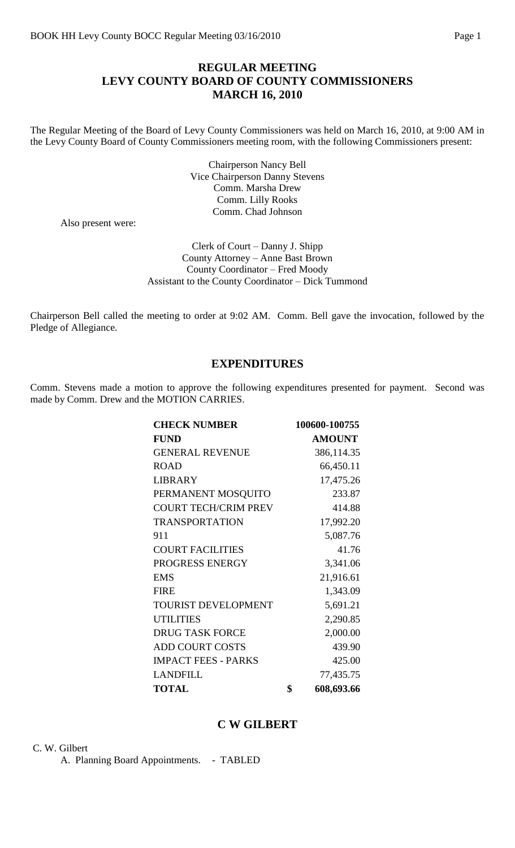## **REGULAR MEETING LEVY COUNTY BOARD OF COUNTY COMMISSIONERS MARCH 16, 2010**

The Regular Meeting of the Board of Levy County Commissioners was held on March 16, 2010, at 9:00 AM in the Levy County Board of County Commissioners meeting room, with the following Commissioners present:

> Chairperson Nancy Bell Vice Chairperson Danny Stevens Comm. Marsha Drew Comm. Lilly Rooks Comm. Chad Johnson

Also present were:

Clerk of Court – Danny J. Shipp County Attorney – Anne Bast Brown County Coordinator – Fred Moody Assistant to the County Coordinator – Dick Tummond

Chairperson Bell called the meeting to order at 9:02 AM. Comm. Bell gave the invocation, followed by the Pledge of Allegiance.

## **EXPENDITURES**

Comm. Stevens made a motion to approve the following expenditures presented for payment. Second was made by Comm. Drew and the MOTION CARRIES.

| <b>CHECK NUMBER</b>         | 100600-100755    |
|-----------------------------|------------------|
| <b>FUND</b>                 | <b>AMOUNT</b>    |
| <b>GENERAL REVENUE</b>      | 386,114.35       |
| <b>ROAD</b>                 | 66,450.11        |
| <b>LIBRARY</b>              | 17,475.26        |
| PERMANENT MOSQUITO          | 233.87           |
| <b>COURT TECH/CRIM PREV</b> | 414.88           |
| <b>TRANSPORTATION</b>       | 17,992.20        |
| 911                         | 5,087.76         |
| <b>COURT FACILITIES</b>     | 41.76            |
| PROGRESS ENERGY             | 3,341.06         |
| <b>EMS</b>                  | 21,916.61        |
| <b>FIRE</b>                 | 1,343.09         |
| <b>TOURIST DEVELOPMENT</b>  | 5,691.21         |
| <b>UTILITIES</b>            | 2,290.85         |
| <b>DRUG TASK FORCE</b>      | 2,000.00         |
| <b>ADD COURT COSTS</b>      | 439.90           |
| <b>IMPACT FEES - PARKS</b>  | 425.00           |
| <b>LANDFILL</b>             | 77,435.75        |
| <b>TOTAL</b>                | \$<br>608,693.66 |

## **C W GILBERT**

C. W. Gilbert

A. Planning Board Appointments. - TABLED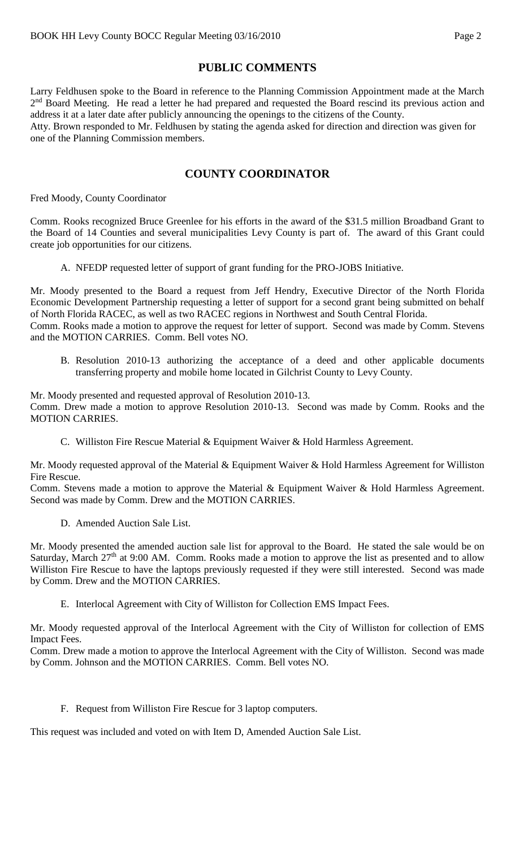# **PUBLIC COMMENTS**

Larry Feldhusen spoke to the Board in reference to the Planning Commission Appointment made at the March 2<sup>nd</sup> Board Meeting. He read a letter he had prepared and requested the Board rescind its previous action and address it at a later date after publicly announcing the openings to the citizens of the County. Atty. Brown responded to Mr. Feldhusen by stating the agenda asked for direction and direction was given for one of the Planning Commission members.

# **COUNTY COORDINATOR**

Fred Moody, County Coordinator

Comm. Rooks recognized Bruce Greenlee for his efforts in the award of the \$31.5 million Broadband Grant to the Board of 14 Counties and several municipalities Levy County is part of. The award of this Grant could create job opportunities for our citizens.

A. NFEDP requested letter of support of grant funding for the PRO-JOBS Initiative.

Mr. Moody presented to the Board a request from Jeff Hendry, Executive Director of the North Florida Economic Development Partnership requesting a letter of support for a second grant being submitted on behalf of North Florida RACEC, as well as two RACEC regions in Northwest and South Central Florida.

Comm. Rooks made a motion to approve the request for letter of support. Second was made by Comm. Stevens and the MOTION CARRIES. Comm. Bell votes NO.

B. Resolution 2010-13 authorizing the acceptance of a deed and other applicable documents transferring property and mobile home located in Gilchrist County to Levy County.

Mr. Moody presented and requested approval of Resolution 2010-13. Comm. Drew made a motion to approve Resolution 2010-13. Second was made by Comm. Rooks and the MOTION CARRIES.

C. Williston Fire Rescue Material & Equipment Waiver & Hold Harmless Agreement.

Mr. Moody requested approval of the Material & Equipment Waiver & Hold Harmless Agreement for Williston Fire Rescue.

Comm. Stevens made a motion to approve the Material & Equipment Waiver & Hold Harmless Agreement. Second was made by Comm. Drew and the MOTION CARRIES.

D. Amended Auction Sale List.

Mr. Moody presented the amended auction sale list for approval to the Board. He stated the sale would be on Saturday, March  $27<sup>th</sup>$  at 9:00 AM. Comm. Rooks made a motion to approve the list as presented and to allow Williston Fire Rescue to have the laptops previously requested if they were still interested. Second was made by Comm. Drew and the MOTION CARRIES.

E. Interlocal Agreement with City of Williston for Collection EMS Impact Fees.

Mr. Moody requested approval of the Interlocal Agreement with the City of Williston for collection of EMS Impact Fees.

Comm. Drew made a motion to approve the Interlocal Agreement with the City of Williston. Second was made by Comm. Johnson and the MOTION CARRIES. Comm. Bell votes NO.

F. Request from Williston Fire Rescue for 3 laptop computers.

This request was included and voted on with Item D, Amended Auction Sale List.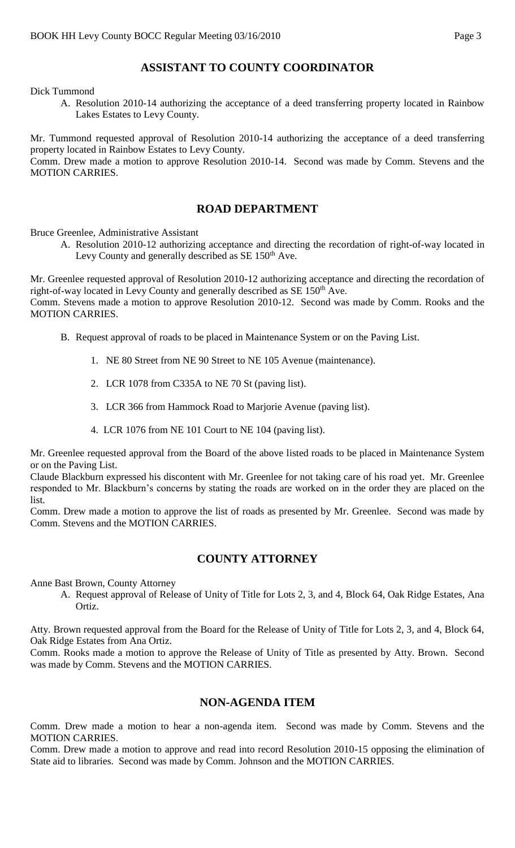# **ASSISTANT TO COUNTY COORDINATOR**

Dick Tummond

A. Resolution 2010-14 authorizing the acceptance of a deed transferring property located in Rainbow Lakes Estates to Levy County.

Mr. Tummond requested approval of Resolution 2010-14 authorizing the acceptance of a deed transferring property located in Rainbow Estates to Levy County.

Comm. Drew made a motion to approve Resolution 2010-14. Second was made by Comm. Stevens and the MOTION CARRIES.

## **ROAD DEPARTMENT**

Bruce Greenlee, Administrative Assistant

A. Resolution 2010-12 authorizing acceptance and directing the recordation of right-of-way located in Levy County and generally described as  $SE 150<sup>th</sup>$  Ave.

Mr. Greenlee requested approval of Resolution 2010-12 authorizing acceptance and directing the recordation of right-of-way located in Levy County and generally described as  $SE 150<sup>th</sup>$  Ave.

Comm. Stevens made a motion to approve Resolution 2010-12. Second was made by Comm. Rooks and the MOTION CARRIES.

- B. Request approval of roads to be placed in Maintenance System or on the Paving List.
	- 1. NE 80 Street from NE 90 Street to NE 105 Avenue (maintenance).
	- 2. LCR 1078 from C335A to NE 70 St (paving list).
	- 3. LCR 366 from Hammock Road to Marjorie Avenue (paving list).
	- 4. LCR 1076 from NE 101 Court to NE 104 (paving list).

Mr. Greenlee requested approval from the Board of the above listed roads to be placed in Maintenance System or on the Paving List.

Claude Blackburn expressed his discontent with Mr. Greenlee for not taking care of his road yet. Mr. Greenlee responded to Mr. Blackburn's concerns by stating the roads are worked on in the order they are placed on the list.

Comm. Drew made a motion to approve the list of roads as presented by Mr. Greenlee. Second was made by Comm. Stevens and the MOTION CARRIES.

## **COUNTY ATTORNEY**

Anne Bast Brown, County Attorney

A. Request approval of Release of Unity of Title for Lots 2, 3, and 4, Block 64, Oak Ridge Estates, Ana Ortiz.

Atty. Brown requested approval from the Board for the Release of Unity of Title for Lots 2, 3, and 4, Block 64, Oak Ridge Estates from Ana Ortiz.

Comm. Rooks made a motion to approve the Release of Unity of Title as presented by Atty. Brown. Second was made by Comm. Stevens and the MOTION CARRIES.

## **NON-AGENDA ITEM**

Comm. Drew made a motion to hear a non-agenda item. Second was made by Comm. Stevens and the MOTION CARRIES.

Comm. Drew made a motion to approve and read into record Resolution 2010-15 opposing the elimination of State aid to libraries. Second was made by Comm. Johnson and the MOTION CARRIES.